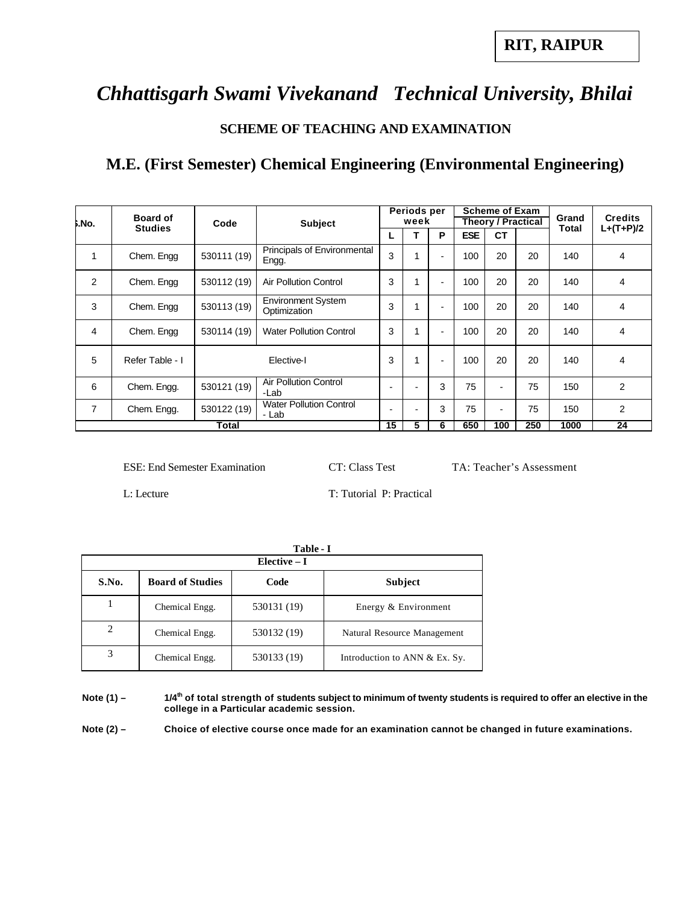#### **SCHEME OF TEACHING AND EXAMINATION**

## **M.E. (First Semester) Chemical Engineering (Environmental Engineering)**

| s.No.          | <b>Board of</b> | Code        | <b>Subject</b>                            | week |                          | Periods per              |            | <b>Scheme of Exam</b><br><b>Theory / Practical</b> |     | Grand | <b>Credits</b> |
|----------------|-----------------|-------------|-------------------------------------------|------|--------------------------|--------------------------|------------|----------------------------------------------------|-----|-------|----------------|
|                | <b>Studies</b>  |             |                                           |      |                          | P                        | <b>ESE</b> | <b>CT</b>                                          |     | Total | $L+(T+P)/2$    |
| 1              | Chem. Engg      | 530111 (19) | Principals of Environmental<br>Engg.      | 3    |                          | $\overline{\phantom{a}}$ | 100        | 20                                                 | 20  | 140   | 4              |
| $\overline{2}$ | Chem. Engg      | 530112 (19) | Air Pollution Control                     | 3    |                          | ٠                        | 100        | 20                                                 | 20  | 140   | 4              |
| 3              | Chem. Engg      | 530113 (19) | <b>Environment System</b><br>Optimization | 3    | $\overline{\mathbf{A}}$  | ٠                        | 100        | 20                                                 | 20  | 140   | 4              |
| 4              | Chem. Engg      | 530114 (19) | <b>Water Pollution Control</b>            | 3    | 1                        | ÷                        | 100        | 20                                                 | 20  | 140   | 4              |
| 5              | Refer Table - I |             | Elective-I                                | 3    |                          | $\overline{\phantom{a}}$ | 100        | 20                                                 | 20  | 140   | 4              |
| 6              | Chem. Engg.     | 530121 (19) | Air Pollution Control<br>-Lab             |      | $\blacksquare$           | 3                        | 75         | $\blacksquare$                                     | 75  | 150   | 2              |
| $\overline{7}$ | Chem. Engg.     | 530122 (19) | <b>Water Pollution Control</b><br>- Lab   |      | $\overline{\phantom{0}}$ | 3                        | 75         | $\overline{\phantom{0}}$                           | 75  | 150   | 2              |
|                |                 | Total       |                                           | 15   | 5                        | 6                        | 650        | 100                                                | 250 | 1000  | 24             |

ESE: End Semester Examination CT: Class Test TA: Teacher's Assessment

L: Lecture T: Tutorial P: Practical

|       | Table - I<br>$Elective - I$ |             |                               |  |  |  |  |  |  |  |  |
|-------|-----------------------------|-------------|-------------------------------|--|--|--|--|--|--|--|--|
| S.No. | <b>Board of Studies</b>     | Code        | <b>Subject</b>                |  |  |  |  |  |  |  |  |
|       | Chemical Engg.              | 530131 (19) | Energy & Environment          |  |  |  |  |  |  |  |  |
| 2     | Chemical Engg.              | 530132 (19) | Natural Resource Management   |  |  |  |  |  |  |  |  |
|       | Chemical Engg.              | 530133 (19) | Introduction to ANN & Ex. Sy. |  |  |  |  |  |  |  |  |

**Note (1) – 1/4th of total strength of students subject to minimum of twenty students is required to offer an elective in the college in a Particular academic session.**

**Note (2) – Choice of elective course once made for an examination cannot be changed in future examinations.**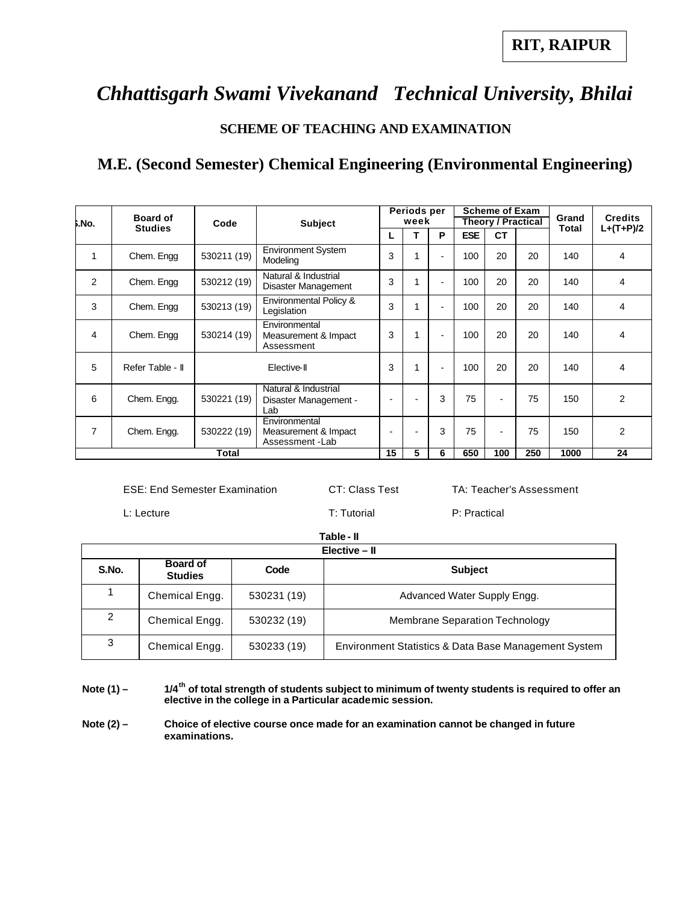#### **SCHEME OF TEACHING AND EXAMINATION**

### **M.E. (Second Semester) Chemical Engineering (Environmental Engineering)**

| s.No.          | <b>Board of</b>  | Code        | <b>Subject</b>                                            |    | Periods per<br>week |                |            |                | <b>Scheme of Exam</b><br><b>Theory / Practical</b> |       |                |  |  | Grand | <b>Credits</b> |  |
|----------------|------------------|-------------|-----------------------------------------------------------|----|---------------------|----------------|------------|----------------|----------------------------------------------------|-------|----------------|--|--|-------|----------------|--|
|                | <b>Studies</b>   |             |                                                           |    |                     | P              | <b>ESE</b> | <b>CT</b>      |                                                    | Total | $L+(T+P)/2$    |  |  |       |                |  |
| $\mathbf{1}$   | Chem. Engg       | 530211 (19) | <b>Environment System</b><br>Modeling                     | 3  | 1                   |                | 100        | 20             | 20                                                 | 140   | 4              |  |  |       |                |  |
| 2              | Chem. Engg       | 530212 (19) | Natural & Industrial<br>Disaster Management               | 3  | 1                   |                | 100        | 20             | 20                                                 | 140   | 4              |  |  |       |                |  |
| 3              | Chem. Engg       | 530213 (19) | Environmental Policy &<br>Legislation                     | 3  | 1                   | $\blacksquare$ | 100        | 20             | 20                                                 | 140   | 4              |  |  |       |                |  |
| 4              | Chem. Engg       | 530214 (19) | Environmental<br>Measurement & Impact<br>Assessment       | 3  | 1                   |                | 100        | 20             | 20                                                 | 140   | 4              |  |  |       |                |  |
| 5              | Refer Table - II | Elective-II |                                                           | 3  | 1                   |                | 100        | 20             | 20                                                 | 140   | 4              |  |  |       |                |  |
| 6              | Chem. Engg.      | 530221 (19) | Natural & Industrial<br>Disaster Management -<br>Lab      |    | -                   | 3              | 75         | $\blacksquare$ | 75                                                 | 150   | $\overline{2}$ |  |  |       |                |  |
| $\overline{7}$ | Chem. Engg.      | 530222 (19) | Environmental<br>Measurement & Impact<br>Assessment - Lab |    |                     | 3              | 75         | $\blacksquare$ | 75                                                 | 150   | $\mathfrak{p}$ |  |  |       |                |  |
|                | Total            |             |                                                           | 15 | 5                   | 6              | 650        | 100            | 250                                                | 1000  | 24             |  |  |       |                |  |

ESE: End Semester Examination CT: Class Test TA: Teacher's Assessment

L: Lecture T: Tutorial P: Practical

 **Table - II**

|       | Elective - II                     |             |                                                      |  |  |  |  |  |  |  |  |  |
|-------|-----------------------------------|-------------|------------------------------------------------------|--|--|--|--|--|--|--|--|--|
| S.No. | <b>Board of</b><br><b>Studies</b> | Code        | <b>Subject</b>                                       |  |  |  |  |  |  |  |  |  |
|       | Chemical Engg.                    | 530231 (19) | Advanced Water Supply Engg.                          |  |  |  |  |  |  |  |  |  |
| 2     | Chemical Engg.                    | 530232 (19) | Membrane Separation Technology                       |  |  |  |  |  |  |  |  |  |
| 3     | Chemical Engg.                    | 530233 (19) | Environment Statistics & Data Base Management System |  |  |  |  |  |  |  |  |  |

**Note (1) – 1/4th of total strength of students subject to minimum of twenty students is required to offer an elective in the college in a Particular academic session.**

**Note (2) – Choice of elective course once made for an examination cannot be changed in future examinations.**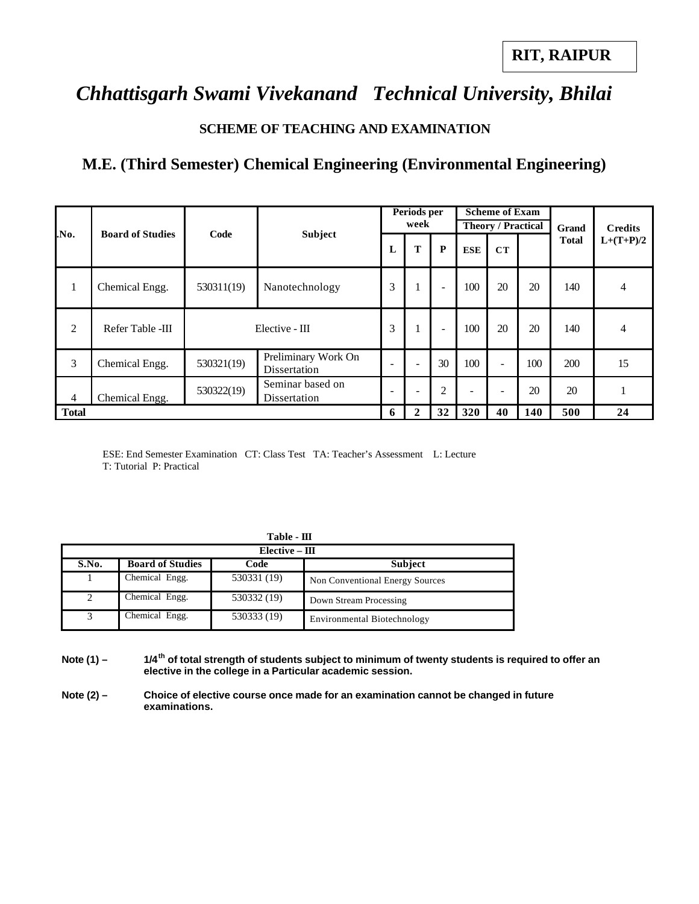#### **SCHEME OF TEACHING AND EXAMINATION**

### **M.E. (Third Semester) Chemical Engineering (Environmental Engineering)**

|                |                         |                |                                     |                          | Periods per<br>week      |                          | <b>Scheme of Exam</b><br><b>Theory / Practical</b> |                          |     | Grand        | <b>Credits</b>               |
|----------------|-------------------------|----------------|-------------------------------------|--------------------------|--------------------------|--------------------------|----------------------------------------------------|--------------------------|-----|--------------|------------------------------|
| No.            | <b>Board of Studies</b> | Code           | <b>Subject</b>                      | L                        | T                        | $\mathbf{P}$             | <b>ESE</b>                                         | CT                       |     | <b>Total</b> | $L+(T+P)/2$<br>4<br>15<br>24 |
| 1              | Chemical Engg.          | 530311(19)     | Nanotechnology                      | 3                        |                          | $\overline{\phantom{0}}$ | 100                                                | 20                       | 20  | 140          |                              |
| 2              | Refer Table -III        | Elective - III |                                     | 3                        |                          | ۰                        | 100                                                | 20                       | 20  | 140          |                              |
| $\overline{3}$ | Chemical Engg.          | 530321(19)     | Preliminary Work On<br>Dissertation | $\overline{\phantom{a}}$ | $\overline{\phantom{0}}$ | 30                       | 100                                                | $\blacksquare$           | 100 | 200          |                              |
| $\overline{4}$ | Chemical Engg.          | 530322(19)     | Seminar based on<br>Dissertation    | $\overline{\phantom{a}}$ | $\overline{\phantom{0}}$ | $\overline{2}$           | ۰                                                  | $\overline{\phantom{a}}$ | 20  | 20           |                              |
| <b>Total</b>   |                         |                |                                     | 6                        | $\mathbf 2$              | 32                       | 320                                                | 40                       | 140 | 500          |                              |

ESE: End Semester Examination CT: Class Test TA: Teacher's Assessment L: Lecture T: Tutorial P: Practical

|       | $Table - III$                                     |             |                                 |  |  |  |  |  |  |  |  |
|-------|---------------------------------------------------|-------------|---------------------------------|--|--|--|--|--|--|--|--|
|       | $Elective - III$                                  |             |                                 |  |  |  |  |  |  |  |  |
| S.No. | <b>Board of Studies</b><br>Code<br><b>Subject</b> |             |                                 |  |  |  |  |  |  |  |  |
|       | Chemical Engg.                                    | 530331 (19) | Non Conventional Energy Sources |  |  |  |  |  |  |  |  |
| 2     | Chemical Engg.                                    | 530332 (19) | Down Stream Processing          |  |  |  |  |  |  |  |  |
| 3     | Chemical Engg.                                    | 530333 (19) | Environmental Biotechnology     |  |  |  |  |  |  |  |  |

- **Note (1) – 1/4th of total strength of students subject to minimum of twenty students is required to offer an elective in the college in a Particular academic session.**
- **Note (2) Choice of elective course once made for an examination cannot be changed in future examinations.**